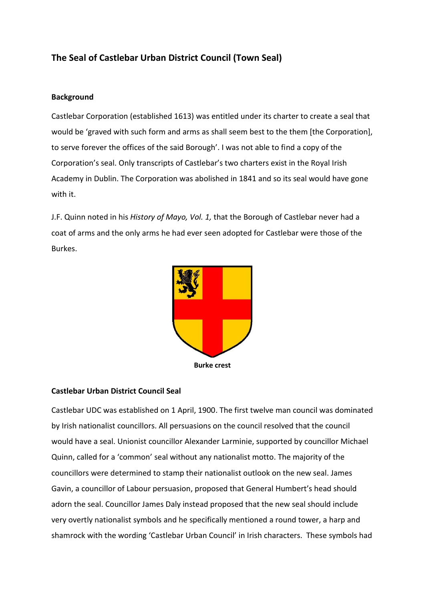## **The Seal of Castlebar Urban District Council (Town Seal)**

## **Background**

Castlebar Corporation (established 1613) was entitled under its charter to create a seal that would be 'graved with such form and arms as shall seem best to the them [the Corporation], to serve forever the offices of the said Borough'. I was not able to find a copy of the Corporation's seal. Only transcripts of Castlebar's two charters exist in the Royal Irish Academy in Dublin. The Corporation was abolished in 1841 and so its seal would have gone with it.

J.F. Quinn noted in his *History of Mayo, Vol. 1,* that the Borough of Castlebar never had a coat of arms and the only arms he had ever seen adopted for Castlebar were those of the Burkes.



## **Castlebar Urban District Council Seal**

Castlebar UDC was established on 1 April, 1900. The first twelve man council was dominated by Irish nationalist councillors. All persuasions on the council resolved that the council would have a seal. Unionist councillor Alexander Larminie, supported by councillor Michael Quinn, called for a 'common' seal without any nationalist motto. The majority of the councillors were determined to stamp their nationalist outlook on the new seal. James Gavin, a councillor of Labour persuasion, proposed that General Humbert's head should adorn the seal. Councillor James Daly instead proposed that the new seal should include very overtly nationalist symbols and he specifically mentioned a round tower, a harp and shamrock with the wording 'Castlebar Urban Council' in Irish characters. These symbols had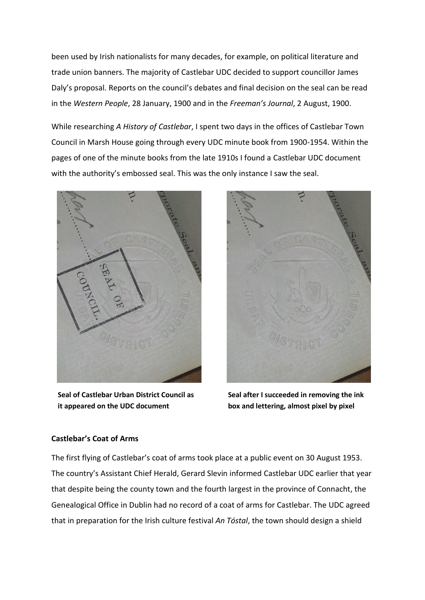been used by Irish nationalists for many decades, for example, on political literature and trade union banners. The majority of Castlebar UDC decided to support councillor James Daly's proposal. Reports on the council's debates and final decision on the seal can be read in the *Western People*, 28 January, 1900 and in the *Freeman's Journal*, 2 August, 1900.

While researching *A History of Castlebar*, I spent two days in the offices of Castlebar Town Council in Marsh House going through every UDC minute book from 1900-1954. Within the pages of one of the minute books from the late 1910s I found a Castlebar UDC document with the authority's embossed seal. This was the only instance I saw the seal.



**Seal of Castlebar Urban District Council as it appeared on the UDC document**



**Seal after I succeeded in removing the ink box and lettering, almost pixel by pixel**

## **Castlebar's Coat of Arms**

The first flying of Castlebar's coat of arms took place at a public event on 30 August 1953. The country's Assistant Chief Herald, Gerard Slevin informed Castlebar UDC earlier that year that despite being the county town and the fourth largest in the province of Connacht, the Genealogical Office in Dublin had no record of a coat of arms for Castlebar. The UDC agreed that in preparation for the Irish culture festival *An Tóstal*, the town should design a shield